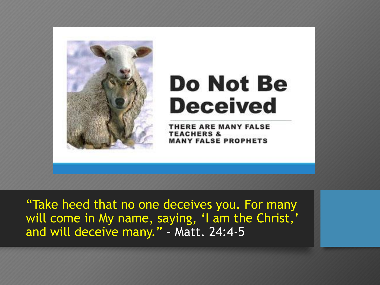

# **Do Not Be Deceived**

THERE ARE MANY FALSE **TEACHERS & MANY FALSE PROPHETS** 

"Take heed that no one deceives you. For many will come in My name, saying, 'I am the Christ,' and will deceive many." – Matt. 24:4-5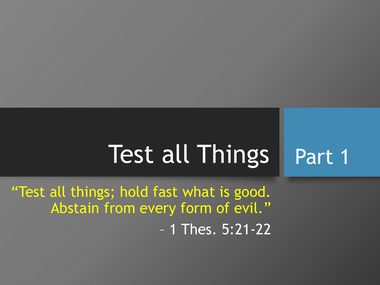#### Test all Things Part 1

"Test all things; hold fast what is good. Abstain from every form of evil." – 1 Thes. 5:21-22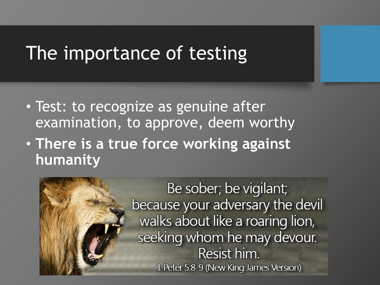## The importance of testing

- Test: to recognize as genuine after examination, to approve, deem worthy
- **There is a true force working against humanity**

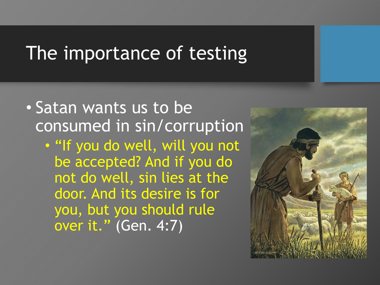## The importance of testing

#### • Satan wants us to be consumed in sin/corruption

• "If you do well, will you not be accepted? And if you do not do well, sin lies at the door. And its desire is for you, but you should rule over it." (Gen. 4:7)

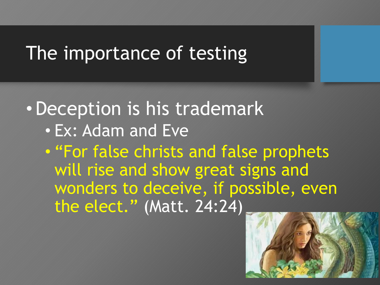## The importance of testing

•Deception is his trademark • Ex: Adam and Eve

• "For false christs and false prophets will rise and show great signs and wonders to deceive, if possible, even the elect." (Matt. 24:24)

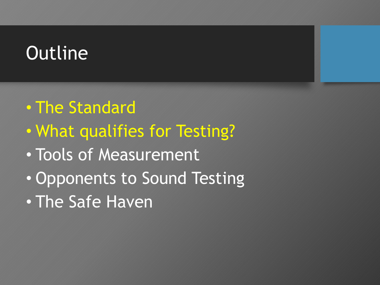## **Outline**

- The Standard
- What qualifies for Testing?
- Tools of Measurement
- Opponents to Sound Testing
- The Safe Haven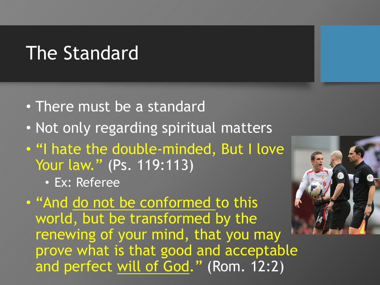### The Standard

- There must be a standard
- Not only regarding spiritual matters
- "I hate the double-minded, But I love Your law." (Ps. 119:113)
	- Ex: Referee

• "And do not be conformed to this world, but be transformed by the renewing of your mind, that you may prove what is that good and acceptable and perfect will of God." (Rom. 12:2)

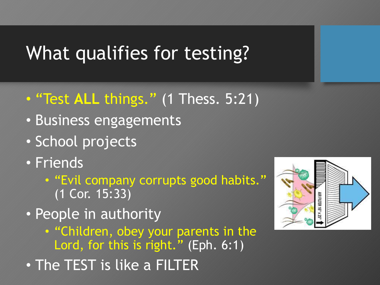# What qualifies for testing?

- "Test **ALL** things." (1 Thess. 5:21)
- Business engagements
- School projects
- Friends
	- "Evil company corrupts good habits." (1 Cor. 15:33)
- People in authority
	- "Children, obey your parents in the Lord, for this is right." (Eph. 6:1)
- The TEST is like a FILTER